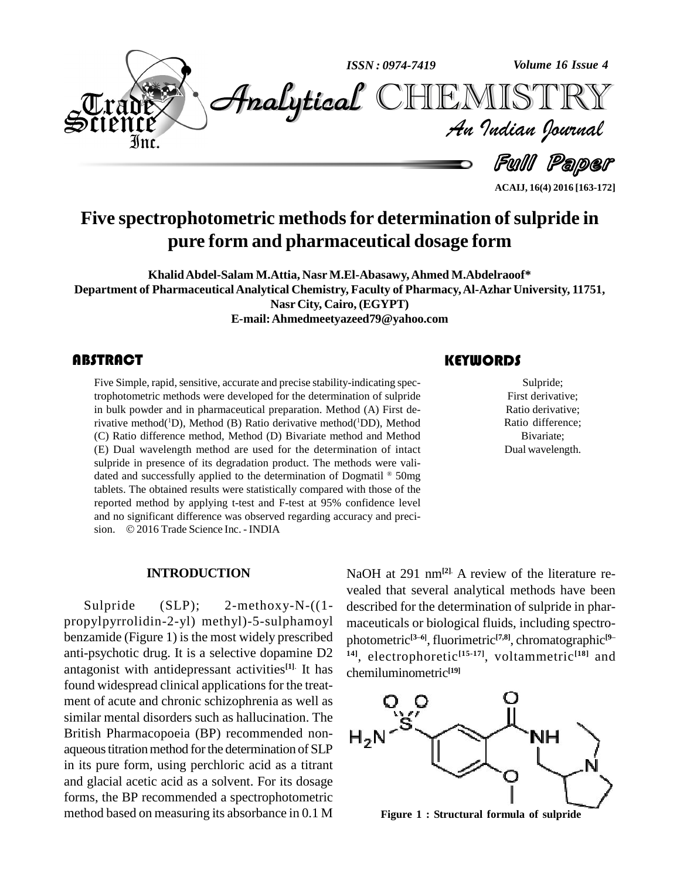

**Five spectrophotometric methodsfor determination ofsulpride in pure form and pharmaceutical dosage form**

**KhalidAbdel-Salam M.Attia, Nasr M.El-Abasawy,Ahmed M.Abdelraoof\* Department of PharmaceuticalAnalytical Chemistry, Faculty of Pharmacy,Al-Azhar University, 11751, Nasr City, Cairo, (EGYPT) E-mail:[Ahmedmeetyazeed79@yahoo.com](mailto:Ahmedmeetyazeed79@yahoo.com)**

# **ABSTRACT**

Five Simple, rapid, sensitive, accurate and precise stability-indicating spec-<br>trophotometric methods were developed for the determination of sulpride<br>in bulk powder and in pharmaceutical preparation. Method (A) First de-Five Simple, rapid, sensitive, accurate and precise stability-indicating spectrophotometric methods were developed for the determination of sulpride rivative method( <sup>1</sup>D), Method (B) Ratio derivative method( <sup>1</sup>DD), Method (C) Ratio difference method, Method (D) Bivariate method and Method (E) Dual wavelength method are used for the determination of intact sulpride in presence of its degradation product. The methods were vali dated and successfully applied to the determination of Dogmatil  $^{\circ}$  50mg tablets. The obtained results were statistically compared with those of the reported method by applying t-test and F-test at 95% confidence level<br>and no significant difference was observed regarding accuracy and preci-<br>sion. © 2016 Trade Science Inc. - INDIA and no significant difference was observed regarding accuracy and preci-

# **KEYWORDS**

Sulpride;<br>First derivativ<br>Ratio derivativ Sulpride; First derivative; Ratio derivative; Ratio difference; Bivariate; Dual wavelength.

**ACAIJ, 16(4) 2016 [163-172]**

#### **INTRODUCTION**

Sulpride (SLP); 2-methoxy-N-((1 propylpyrrolidin-2-yl) methyl)-5-sulphamoyl benzamide (Figure 1) is the most widely prescribed anti-psychotic drug. It is a selective dopamine D2 antagonist with antidepressant activities **[1]**. It has found widespread clinical applications for the treatment of acute and chronic schizophrenia as well as similar mental disorders such as hallucination. The British Pharmacopoeia (BP) recommended non- $H_2$ aqueous titration method for the determination of SLP in its pure form, using perchloric acid as a titrant and glacial acetic acid as a solvent. For its dosage forms, the BP recommended a spectrophotometric method based on measuring its absorbance in 0.1 M

NaOH at 291 nm**[2]**. A review of the literature re vealed that several analytical methods have been described for the determination of sulpride in phar maceuticals or biological fluids, including spectro-<br>photometric<sup>[3-6]</sup> fluorimetric<sup>[7,8]</sup> chromatographic<sup>[9-</sup> maceuticals or biological fluids, including spectro-<br>photometric<sup>[3-6]</sup>, fluorimetric<sup>[7,8]</sup>, chromatographic<sup>[9–</sup> **14]**, electrophoretic **[15-17]**, voltammetric **[18]** and chemiluminometric **[19]**



**Figure 1: Structural formula of sulpride**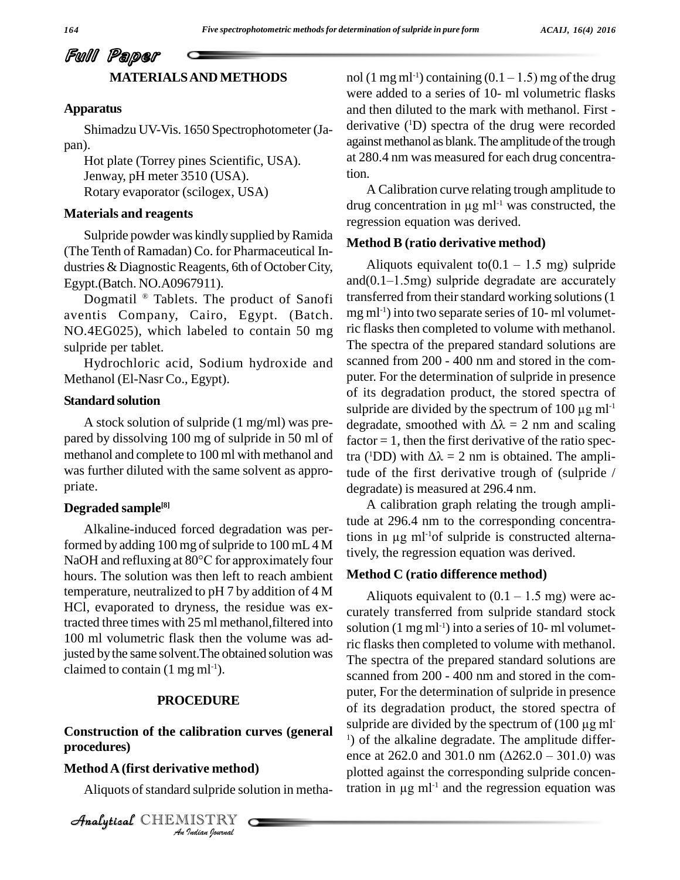# Full Paper **MATERIALSAND METHODS**

#### **Apparatus**

Shimadzu UV-Vis. 1650 Spectrophotometer (Ja pan).<br>Hot plate (Torrey pines Scientific, USA).

Jenway, pH meter 3510 (USA). Rotary evaporator (scilogex, USA)

## **Materials and reagents**

Sulpride powder was kindly supplied by Ramida (The Tenth of Ramadan) Co. for Pharmaceutical In dustries & Diagnostic Reagents, 6th of October City, Egypt.(Batch. NO.A0967911).

Dogmatil ® Tablets. The product of Sanofi aventis Company, Cairo, Egypt. (Batch. NO.4EG025), which labeled to contain 50 mg sulpride per tablet.

Hydrochloric acid, Sodium hydroxide and Methanol (El-Nasr Co., Egypt).

#### **Standard solution**

A stock solution of sulpride (1 mg/ml) was pre pared by dissolving 100 mg of sulpride in 50 ml of methanol and complete to 100 ml with methanol and was further diluted with the same solvent as appro priate.

## **Degraded sample [8]**

Alkaline-induced forced degradation was performed by adding  $100$  mg of sulpride to  $100$  mL  $4$  M NaOH and refluxing at 80°C for approximately four hours. The solution was then left to reach ambient temperature, neutralized to pH 7 by addition of 4 M HCl, evaporated to dryness, the residue was extracted three times with 25 ml methanol,filtered into 100 ml volumetric flask then the volume was adjusted by the same solvent. The obtained solution was claimed to contain  $(1 \text{ mg ml-1}).$ 

#### **PROCEDURE**

# **Construction** of the calibration curves (general  $\frac{300}{1}$ *Indian*<br>*I* sulpride so<br>*IISTRY* Analytical**procedures)**

#### **MethodA(first derivative method)**

Aliquots of standard sulpride solution in metha-

CHEMISTRY COMPANY

nol (1 mg ml<sup>-1</sup>) containing (0.1 – 1.5) mg of the drug were added to a series of 10- ml volumetric flasks and then diluted to the mark with methanol. First derivative ( <sup>1</sup>D) spectra of the drug were recorded against methanol as blank. The amplitude of the trough at 280.4 nm was measured for each drug concentration.<br>A Calibration curve relating trough amplitude to

tion.<br>A Calibration curve relating trough amplitude to<br>drug concentration in  $\mu$ g ml<sup>-1</sup> was constructed, the regression equation was derived.

## **Method B (ratio derivative method)**

Aliquots equivalent to( $0.1 - 1.5$  mg) sulpride and $(0.1-1.5mg)$  sulpride degradate are accurately transferred from their standard working solutions (1) mg ml<sup>-1</sup>) into two separate series of 10- ml volumetric flasks then completed to volume with methanol. The spectra of the prepared standard solutions are scanned from 200 - 400 nm and stored in the com puter. For the determination of sulpride in presence of its degradation product, the stored spectra of puter. For the determination of sulpride in presence<br>of its degradation product, the stored spectra of<br>sulpride are divided by the spectrum of 100 µg ml<sup>-1</sup> of its degradation product, the stored spectra of<br>sulpride are divided by the spectrum of 100  $\mu$ g ml<sup>-1</sup><br>degradate, smoothed with  $\Delta\lambda = 2$  nm and scaling  $factor = 1$ , then the first derivative of the ratio spectra (<sup>1</sup>DD) with  $\Delta\lambda = 2$  nm is obtained. The amplidegradate, smoothed with  $\Delta\lambda = 2$  nm and scaling tude of the first derivative trough of (sulpride  $/$ degradate) is measured at 296.4 nm.

A calibration graph relating the trough amplitude at 296.4 nm to the corresponding concentra-A calibration graduate at 296.4 nm to<br>tions in  $\mu$ g ml<sup>-1</sup>of su tions in  $\mu$ g m $l$ <sup>-1</sup>of sulpride is constructed alternatively, the regression equation was derived.

#### **Method C (ratio difference method)**

Aliquots equivalent to  $(0.1 - 1.5 \text{ mg})$  were accurately transferred from sulpride standard stock solution (1 mg ml<sup>-1</sup>) into a series of 10- ml volumetric flasks then completed to volume with methanol. The spectra of the prepared standard solutions are scanned from 200 - 400 nm and stored in the com puter, For the determination of sulpride in presence of its degradation product, the stored spectra of puter, For the determination of sulpride in presence<br>of its degradation product, the stored spectra of<br>sulpride are divided by the spectrum of (100 µg ml<sup>-1</sup>) of the alkaline degradate. The amplitude differ-<br>ence at 262.0 <sup>1</sup>) of the alkaline degradate. The amplitude differplotted against the corresponding sulpride concenence at 262.0 and 301<br>plotted against the cor<br>tration in  $\mu$ g ml<sup>-1</sup> and tration in  $\mu$ g m $l$ <sup>-1</sup> and the regression equation was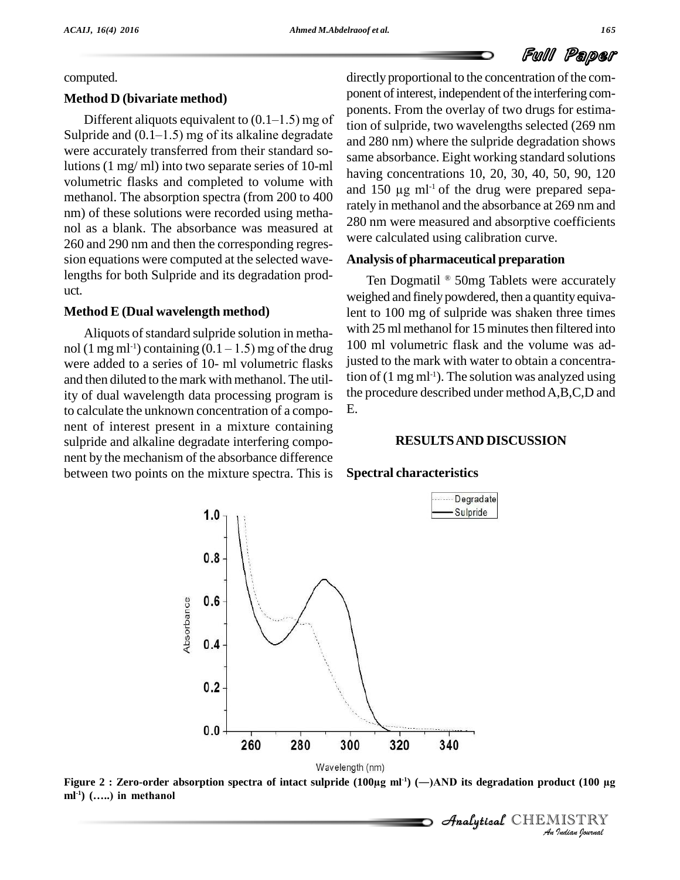computed.

## **Method D (bivariate method)**

Different aliquots equivalent to  $(0.1–1.5)$  mg of Sulpride and  $(0.1–1.5)$  mg of its alkaline degradate were accurately transferred from their standard solutions (1 mg/ ml) into two separate series of 10-ml volumetric flasks and completed to volume with methanol. The absorption spectra (from 200 to 400 nm) of these solutions were recorded using metha nol as a blank. The absorbance was measured at 260 and 290 nm and then the corresponding regres sion equations were computed at the selected wavelengths for both Sulpride and its degradation prod uct.

# **Method E (Dual wavelength method)**

Aliquots of standard sulpride solution in metha-**Method E (Dual wavelength method)** lent to<br>Aliquots of standard sulpride solution in metha-<br>nol (1 mg ml<sup>-1</sup>) containing (0.1 – 1.5) mg of the drug 100 m were added to a series of 10- ml volumetric flasks and then diluted to the mark with methanol. The utility of dual wavelength data processing program is to calculate the unknown concentration of a compo nent of interest present in a mixture containing sulpride and alkaline degradate interfering compo nent by the mechanism of the absorbance difference between two points on the mixture spectra. This is

directly proportional to the concentration of the component of interest, independent of the interfering components. From the overlay of two drugs for estimation of sulpride, two wavelengths selected (269 nm and 280 nm) where the sulpride degradation shows same absorbance. Eight working standard solutions<br>having concentrations 10, 20, 30, 40, 50, 90, 120<br>and 150 µg ml<sup>-1</sup> of the drug were prepared sepahaving concentrations 10, 20, 30, 40, 50, 90, 120 and 150  $\mu$ g m $l^{-1}$  of the drug were prepared separately in methanol and the absorbance at 269 nm and 280 nm were measured and absorptive coefficients were calculated using calibration curve.

#### **Analysis of pharmaceutical preparation**

Ten Dogmatil  $\mathbb{R}$  50mg Tablets were accurately weighed and finely powdered, then a quantity equivalent to 100 mg of sulpride was shaken three times with 25 ml methanol for 15 minutes then filtered into 100 ml volumetric flask and the volume was adjusted to the mark with water to obtain a concentration of (1 mg ml<sup>-1</sup>). The solution was analyzed using the procedure described under methodA,B,C,D and E.

## **RESULTSAND DISCUSSION**

**Analytical** CHEMISTRY

#### **Spectral characteristics**



 *Indian Journal*  $ml<sup>-1</sup>$  (.....) in methanol **-1) (Ö..) in methanol**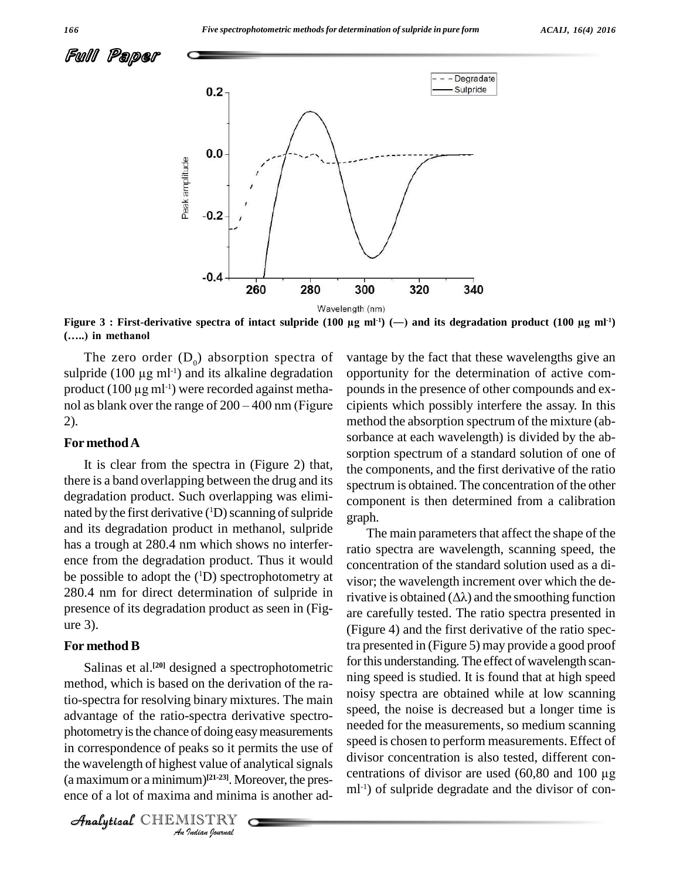



**(Ö..) in methanol**

The zero order  $(D_0)$  absorption spectra of (.....) in methanol<br>The zero order  $(D_0)$  absorption spectra of vantag<br>sulpride (100  $\mu$ g ml<sup>-1</sup>) and its alkaline degradation opport The zero order  $(D_0$ <br>sulpride (100 µg ml<sup>-1</sup>) an<br>product (100 µg ml<sup>-1</sup>) wer product  $(100 \mu g \text{ ml}^{-1})$  were recorded against methanol as blank over the range of  $200 - 400$  nm (Figure 2)*.*

#### **For methodA**

It is clear from the spectra in (Figure 2) that, there is a band overlapping between the drug and its degradation product. Such overlapping was elimi nated by the first derivative ( ${}^{1}D$ ) scanning of sulpride  $\sigma_{\text{rank}}$ and its degradation product in methanol, sulpride has a trough at 280.4 nm which shows no interfer ence from the degradation product. Thus it would be possible to adopt the  $(1D)$  spectrophotometry at  $\overline{viso}$ 280.4 nm for direct determination of sulpride in presence of its degradation product as seen in (Fig ure 3).

#### **For method B**

photometry is the chance of doing easy measurements *I*<br> *Indian I*<br> *Indian I*<br> *ISTRY*<br> *ISTRY* in correspondence of peaks so it permits the use of  $\frac{spe}{\cdot}$ Salinas et al.<sup>[20]</sup> designed a spectrophotometric <sup>101</sup> un method, which is based on the derivation of the ratio-spectra for resolving binary mixtures. The main advantage of the ratio-spectra derivative spectro the wavelength of highest value of analytical signals (a maximum or a minimum)<sup>[21-23]</sup>. Moreover, the presence of a lot of maxima and minima is another ad-

CHEMISTRY COMPANY

vantage by the fact that these wavelengths give an opportunity for the determination of active compounds in the presence of other compounds and ex cipients which possibly interfere the assay. In this method the absorption spectrum of the mixture (ab sorbance at each wavelength) is divided by the ab sorption spectrum of a standard solution of one of the components, and the first derivative of the ratio spectrum is obtained. The concentration of the other component is then determined from a calibration graph.

The main parameters that affect the shape of the ratio spectra are wavelength, scanning speed, the concentration of the standard solution used as a di visor; the wavelength increment over which the derivative is obtained  $(\Delta \lambda)$  and the smoothing function are carefully tested. The ratio spectra presented in (Figure 4) and the first derivative of the ratio spectra presented in (Figure 5) may provide a good proof for this understanding. The effect of wavelength scanning speed is studied. It is found that at high speed noisy spectra are obtained while at low scanning speed, the noise is decreased but a longer time is needed for the measurements, so medium scanning speed is chosen to perform measurements. Effect of divisor concentration is also tested, different con centrations of divisor are used (60,80 and <sup>100</sup> µg ml<sup>-1</sup>) of sulpride degradate and the divisor of con-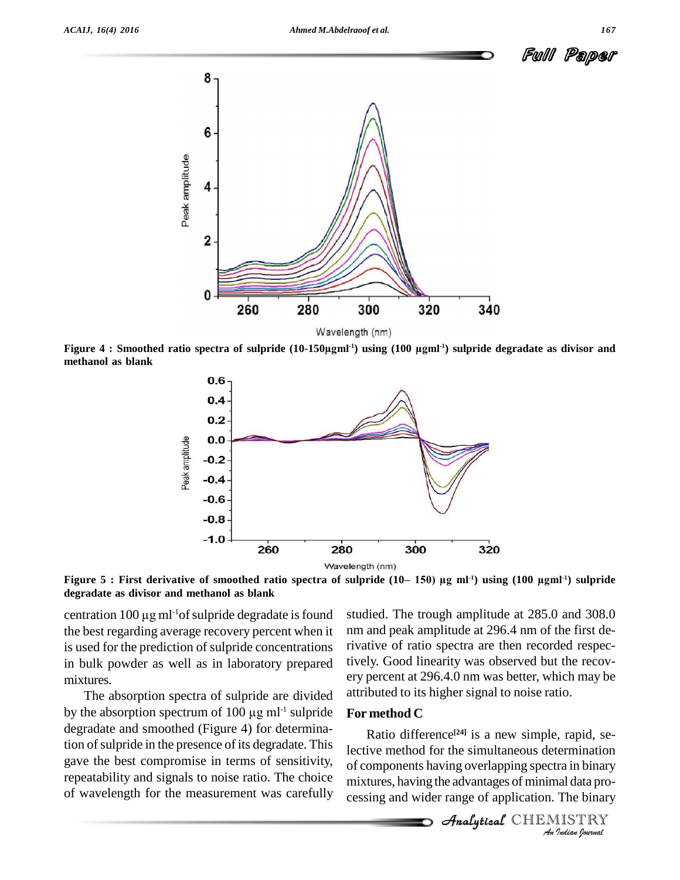

Wavelength (nm)<br>Figure 4 : Smoothed ratio spectra of sulpride (10-150µgml<sup>-1</sup>) using (100 µgml<sup>-1</sup>) sulpride degradate as divisor and **methanol as blank**

300

320

280



**degradate as divisor and methanol as blank** Figure 5 : First derivative o<br>degradate as divisor and meti<br>centration 100 μg ml<sup>-1</sup>of su

centration  $100 \mu g$  ml<sup>-1</sup>of sulpride degradate is found the best regarding average recovery percent when it is used for the prediction of sulpride concentrations in bulk powder as well as in laboratory prepared mixtures.

Peak amplitude

0

260

The absorption spectra of sulpride are divided mixtures. ery pe<br>The absorption spectra of sulpride are divided attribu<br>by the absorption spectrum of 100  $\mu$ g ml<sup>-1</sup> sulpride **Form** degradate and smoothed (Figure 4) for determination of sulpride in the presence of its degradate. This gave the best compromise in terms of sensitivity, repeatability and signals to noise ratio. The choice of wavelength for the measurement was carefully

studied. The trough amplitude at 285.0 and 308.0 nm and peak amplitude at 296.4 nm of the first derivative of ratio spectra are then recorded respectively. Good linearity was observed but the recovery percent at 296.4.0 nm was better, which may be attributed to its higher signal to noise ratio.

340

## **For method C**

Ratio difference<sup>[24]</sup> is a new simple, rapid, se-**INDIANAL TERRY THEORY**<br> *Indian Indian Indian*<br> *Indian*<br> *Indian*<br> *Indian*<br> *Indian*<br> *Indian*<br> *Analytical* CHEMISTRY<br> *Analytical* CHEMISTRY of components having overlapping spectra in binary mixtures, having the advantages of minimal data pro cessing and wider range of application. The binary

**Analytical** CHEMISTRY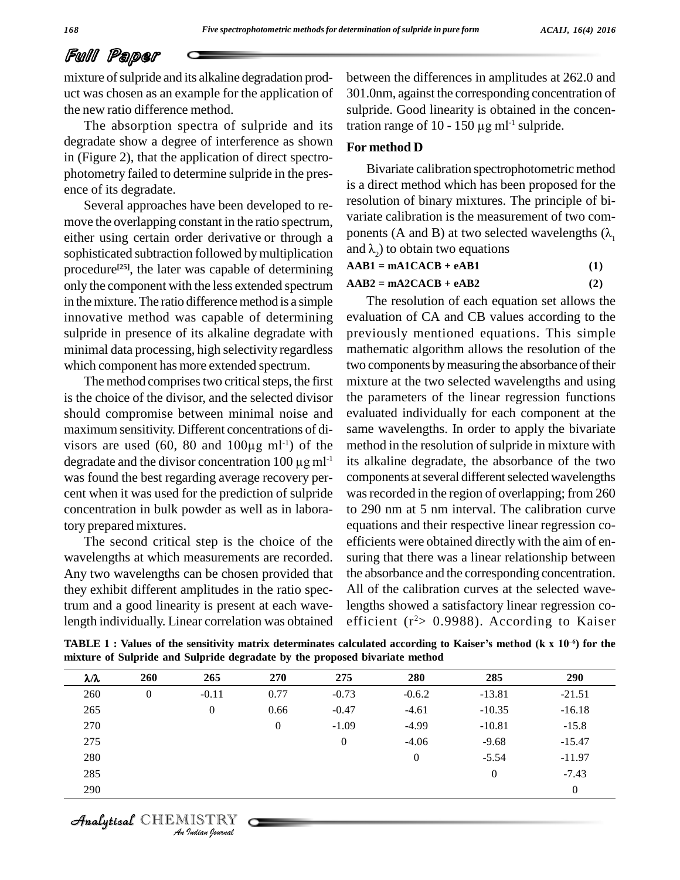# Full Paper

mixture of sulpride and its alkaline degradation product was chosen as an example for the application of the new ratio difference method.

The absorption spectra of sulpride and its degradate show a degree of interference as shown in (Figure 2), that the application of direct spectro photometry failed to determine sulpride in the pres ence of its degradate.

Several approaches have been developed to re move the overlapping constant in the ratio spectrum, either using certain order derivative or through a ponents (A and B) at two selection-<br>sophisticated subtraction followed by multiplication and  $\lambda$ , to obtain two equations sophisticated subtraction followed by multiplication procedure<sup>[25]</sup>, the later was capable of determining **AABI** = only the component with the less extended spectrum in the mixture. The ratio difference method is a simple innovative method was capable of determining sulpride in presence of its alkaline degradate with minimal data processing, high selectivity regardless which component has more extended spectrum.

The method comprises two critical steps, the first is the choice of the divisor, and the selected divisor should compromise between minimal noise and maximum sensitivity. Different concentrations of di should compromise between minimal noise and evaluanorum sensitivity. Different concentrations of disomness are used (60, 80 and 100 $\mu$ g ml<sup>-1</sup>) of the methomorphic maximum sensitivity. Different concentrations of dis-<br>visors are used (60, 80 and 100 $\mu$ g ml<sup>-1</sup>) of the modegradate and the divisor concentration 100  $\mu$ g ml<sup>-1</sup> its was found the best regarding average recovery per cent when it was used for the prediction of sulpride concentration in bulk powder as well as in laboratory prepared mixtures.

The second critical step is the choice of the wavelengths at which measurements are recorded. Any two wavelengths can be chosen provided that they exhibit different amplitudes in the ratio spectrum and agood linearity is present at each wavelength individually. Linear correlation was obtained

between the differences in amplitudes at 262.0 and 301.0nm, against the corresponding concentration of sulpride. Good linearity is obtained in the concen-301.0nm, against the corresponding cosulpride. Good linearity is obtained<br>tration range of  $10 - 150 \mu g$  ml<sup>-1</sup> sulp tration range of 10 - 150  $\mu$ g ml<sup>-1</sup> sulpride.

#### **For method D**

Bivariate calibration spectrophotometric method is a direct method which has been proposed for the resolution of binary mixtures. The principle of bi variate calibration is the measurement of two com resolution of binary mixtures. The principle of bi-<br>variate calibration is the measurement of two com-<br>ponents (A and B) at two selected wavelengths ( $\lambda_1$ variate calibration is the measurement<br>ponents (A and B) at two selected was<br>and  $\lambda_2$ ) to obtain two equations

**AAB1 = mA1CACB + eAB1 (1)**

 $\mathbf{AAB2} = \mathbf{mA2CACB} + \mathbf{eAB2}$  (2)

-1 its alkaline degradate, the absorbance of the two The resolution of each equation set allows the evaluation of CA and CB values according to the previously mentioned equations. This simple mathematic algorithm allows the resolution of the two components by measuring the absorbance of their mixture at the two selected wavelengths and using the parameters of the linear regression functions evaluated individually for each component at the same wavelengths. In order to apply the bivariate method in the resolution of sulpride in mixture with components at several different selected wavelengths was recorded in the region of overlapping; from 260 to 290 nm at 5 nm interval. The calibration curve equations and their respective linear regression co efficients were obtained directly with the aim of en suring that there was a linear relationship between the absorbance and the corresponding concentration. All of the calibration curves at the selected wavelengths showed a satisfactory linear regression co efficient (r<sup>2</sup>> 0.9988). According to Kaiser

mixture of Sulpride and Sulpride degradate by the proposed bivariate method<br> $\lambda/\lambda$  260 265 270 275 280 285 290 length individually. Linear correlation was obtained efficient ( $r^2$  > 0.9988). According to Kaiser<br>TABLE 1: Values of the sensitivity matrix determinates calculated according to Kaiser's method (k x 10<sup>-6</sup>) for the

| $\lambda/\lambda$ | 260      | 265            | 270              | 275     | 280            | 285      | 290      |
|-------------------|----------|----------------|------------------|---------|----------------|----------|----------|
| 260               | $\theta$ | $-0.11$        | 0.77             | $-0.73$ | $-0.6.2$       | $-13.81$ | $-21.51$ |
| 265               |          | $\overline{0}$ | 0.66             | $-0.47$ | $-4.61$        | $-10.35$ | $-16.18$ |
| 270               |          |                | $\boldsymbol{0}$ | $-1.09$ | $-4.99$        | $-10.81$ | $-15.8$  |
| 275               |          |                |                  | 0       | $-4.06$        | $-9.68$  | $-15.47$ |
| 280               |          |                |                  |         | $\overline{0}$ | $-5.54$  | $-11.97$ |
| 285               |          |                |                  |         |                | $\theta$ | $-7.43$  |
| 290               |          |                |                  |         |                |          | $\theta$ |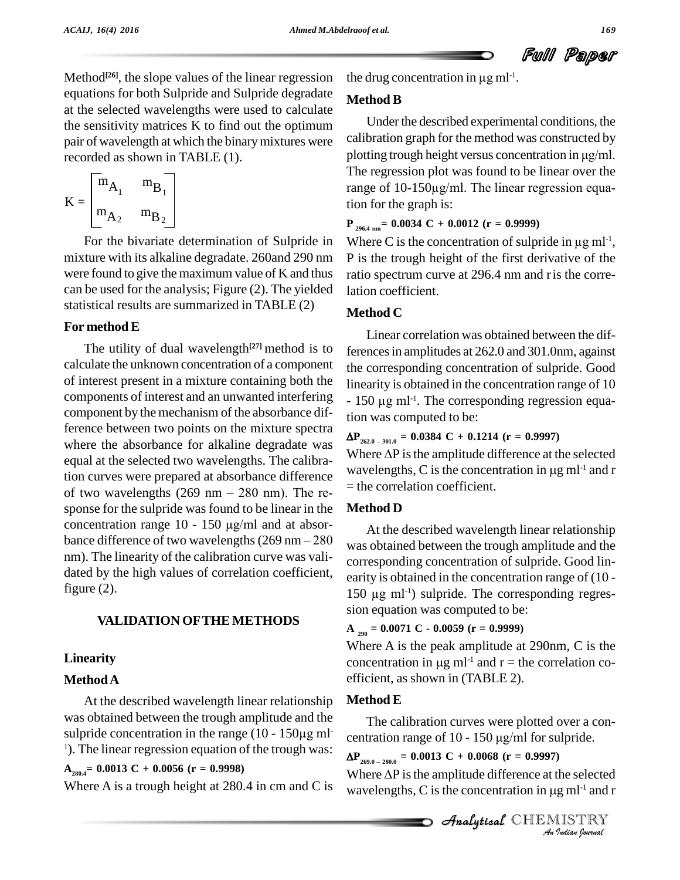Ful Paper

Method<sup>[26]</sup>, the slope values of the linear regression the dru equations for both Sulpride and Sulpride degradate at the selected wavelengths were used to calculate the sensitivity matrices K to find out the optimum pair of wavelength at which the binarymixtures were recorded as shown in TABLE (1).

$$
\mathbf{K} = \begin{bmatrix} \mathbf{m}_{\mathbf{A}_1} & \mathbf{m}_{\mathbf{B}_1} \\ \mathbf{m}_{\mathbf{A}_2} & \mathbf{m}_{\mathbf{B}_2} \end{bmatrix}
$$

For the bivariate determination of Sulpride in mixture with its alkaline degradate. 260and 290 nm were found to give the maximum value of  $K$  and thus can be used for the analysis; Figure (2). The yielded statistical results are summarized in TABLE (2)

# **For method E**

The utility of dual wavelength<sup>[27]</sup> method is to ference calculate the unknown concentration of a component of interest present in a mixture containing both the components of interest and an unwanted interfering component by the mechanism of the absorbance difference between two points on the mixture spectra where the absorbance for alkaline degradate was equal at the selected two wavelengths. The calibration curves were prepared at absorbance difference equal at the selected two wavelengths. The calibra-<br>tion curves were prepared at absorbance difference<br>of two wavelengths  $(269 \text{ nm} - 280 \text{ nm})$ . The response for the sulpride was found to be linear in the **Metho**<br>concentration range 10 - 150  $\mu$ g/ml and at absor-<br>bance difference of two wavelengths (269 nm – 280  $\mu$  was ob of two wavelengths (269 nm – 280 nm). The response for the sulpride was found to be linear in the **Me** concentration range 10 - 150  $\mu$ g/ml and at absornm). The linearity of the calibration curve was vali dated by the high values of correlation coefficient, figure (2).

# **VALIDATION OFTHE METHODS**

# **Linearity**

# **MethodA**

At the described wavelength linear relationship was obtained between the trough amplitude and the T At the described wavelength linear relationship Me<br>was obtained between the trough amplitude and the<br>sulpride concentration in the range  $(10 - 150\mu g \text{ ml}^{-1})$  $\alpha$ <sup>1</sup>). The linear regression equation of the trough was:

# **A280.4= 0.0013 C + 0.0056 (r = 0.9998)**

Where A is a trough height at 280.4 in cm and C is

the drug concentration in  $\mu$ g ml<sup>-1</sup>.

# **Method B**

Under the described experimental conditions, the calibration graph for the method was constructed by plotting trough height versus concentration in  $\mu$ g/ml. The regression plot was found to be linear over the plotting trough height versus concentration in µg/ml.<br>The regression plot was found to be linear over the<br>range of 10-150µg/ml. The linear regression equation for the graph is:

**P 296.4 nm= 0.0034 C + 0.0012 (r = 0.9999)**

tion for the graph is:<br>  $P_{296.4 \text{ nm}} = 0.0034 \text{ C} + 0.0012 \text{ (r = 0.9999)}$ <br>
Where C is the concentration of sulpride in µg ml<sup>-1</sup>, P is the trough height of the first derivative of the ratio spectrum curve at 296.4 nm and r is the correlation coefficient.

# **Method C**

Linear correlation was obtained between the differencesin amplitudes at262.0 and 301.0nm, against the corresponding concentration of sulpride. Good linearity is obtained in the concentration range of 10 the corresponding<br>linearity is obtaine<br>- 150 μg ml<sup>-1</sup>. The -1 . The corresponding regression equation was computed to be:

 $\Delta P_{262.0 - 301.0} = 0.0384 \text{ C} + 0.1214 \text{ (r} = 0.9997)$ 

tion was computed to be:<br> $\Delta P_{262.0-301.0} = 0.0384 \text{ C} + 0.1214 \text{ (r = 0.9997)}$ <br>Where  $\Delta P$  is the amplitude difference at the selected  $\Delta P_{262.0-301.0} = 0.0384 \text{ C} + 0.1214 \text{ (r} = 0.9997)$ <br>Where  $\Delta P$  is the amplitude difference at the selected<br>wavelengths, C is the concentration in µg ml<sup>-1</sup> and 1 wavelengths, C is the concentration in  $\mu$ g m $l^{-1}$  and r = the correlation coefficient.

# **Method D**

At the described wavelength linear relationship was obtained between the trough amplitude and the corresponding concentration of sulpride. Good linearity is obtained in the concentration range of (10 - 150 µg ml<sup>-1</sup>) sulpride. The corresponding regresearity is obtained in the concentration range of (10 -  $150 \mu g$  ml<sup>-1</sup>) sulpride. The corresponding regression equation was computed to be:

#### **A <sup>290</sup> = 0.0071 C - 0.0059 (r = 0.9999)**

Where A is the peak amplitude at 290nm, C is the  $A_{290} = 0.0071 \text{ C} - 0.0059 \text{ (r = 0.95)}$ <br>Where A is the peak amplituoncentration in  $\mu$ g ml<sup>-1</sup> and concentration in  $\mu$ g ml<sup>-1</sup> and r = the correlation coefficient, as shown in (TABLE 2).

# **Method E**

*f* 10 - 150 µg/ml for s - The calibration curves were plotted over a con- **EXECUTE:**<br>The calibration curves were plotted over a concentration range of  $10 - 150 \mu\text{g/ml}$  for sulpride.

 $\Delta P_{269.0-280.0} = 0.0013 \text{ C} + 0.0068 \text{ (r} = 0.9997)$ 

*Indian*<br>*I* the selected<br>*I* ISTRY<br>*Indian Iournal* centration range of 10 - 150 µg/ml for sulpride.<br> $\Delta P_{269.0-280.0} = 0.0013 \text{ C} + 0.0068 \text{ (r = 0.9997)}$ <br>Where  $\Delta P$  is the amplitude difference at the selected  $\Delta P_{269.0-280.0} = 0.0013 \text{ C} + 0.0068 \text{ (r = 0.9997)}$ <br>Where  $\Delta P$  is the amplitude difference at the selected wavelengths, C is the concentration in µg ml<sup>-1</sup> and i wavelengths, C is the concentration in  $\mu$ g m $l^{-1}$  and r

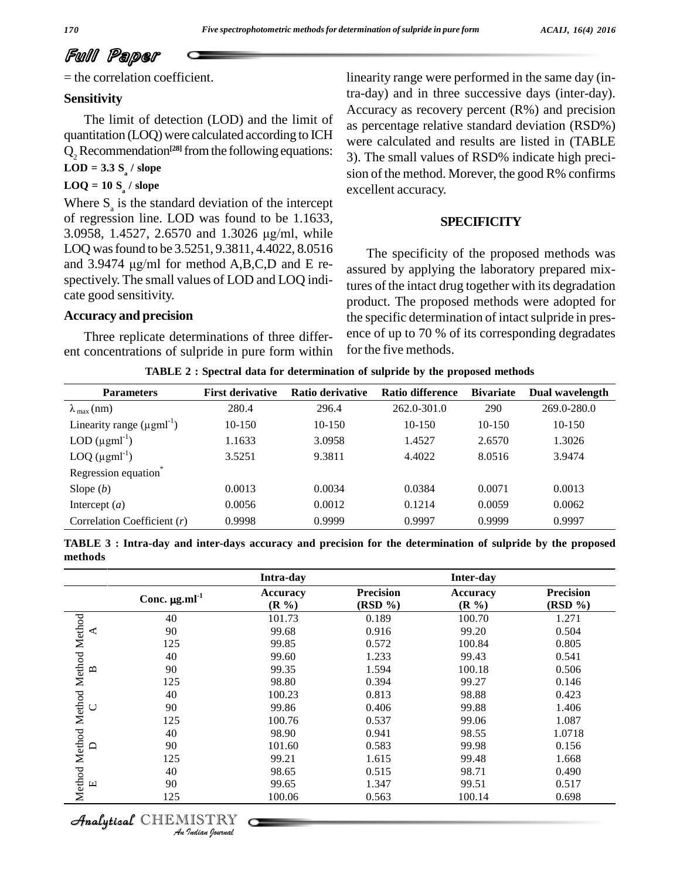# Full Paper

= the correlation coefficient.

## **Sensitivity**

The limit of detection (LOD) and the limit of quantitation (LOQ) were calculated according to ICH  $Q_2$  Recommendation<sup>[28]</sup> from the following equations:  $\frac{1}{3}$  $\text{LOD} = 3.3 \text{ S}$ <sup>2</sup> / slope

# **LOQ = 10 S<sup>a</sup> / slope**

Where  $S_a$  is the standard deviation of the intercept of regression line. LOD was found to be 1.1633, 3.0958, 1.4527, 2.6570 and 1.3026  $\mu$ g/ml, while of regression line. LOD was found to be 1.1633, LOQ was found to be 3.5251, 9.3811, 4.4022, 8.0516  $_{\text{Th}}$ 3.0958, 1.4527, 2.6570 and 1.3026 µg/ml, while<br>LOQ was found to be 3.5251, 9.3811, 4.4022, 8.0516<br>and 3.9474 µg/ml for method A,B,C,D and E respectively. The small values of LOD and LOQ indicate good sensitivity.

#### **Accuracy and precision**

Three replicate determinations of three differ ent concentrations of sulpride in pure form within linearity range were performed in the same day (intra-day) and in three successive days (inter-day). Accuracy as recovery percent (R%) and precision as percentage relative standard deviation (RSD%) were calculated and results are listed in (TABLE 3). The small values of RSD% indicate high preci sion of the method. Morever, the good R% confirms excellent accuracy.

#### **SPECIFICITY**

The specificity of the proposed methods was assured by applying the laboratory prepared mixtures of the intact drug together with its degradation product. The proposed methods were adopted for the specific determination of intact sulpride in presence of up to 70 % of its corresponding degradates for the five methods.

**TABLE 2 : Spectral data for determination of sulpride by the proposed methods**

| <b>Parameters</b>                | <b>First derivative</b> | Ratio derivative | <b>Ratio difference</b> | <b>Bivariate</b> | Dual wavelength |
|----------------------------------|-------------------------|------------------|-------------------------|------------------|-----------------|
| $\lambda_{\text{max}}$ (nm)      | 280.4                   | 296.4            | 262.0-301.0             | 290              | 269.0-280.0     |
| Linearity range $(\mu gml^{-1})$ | 10-150                  | $10-150$         | 10-150                  | $10-150$         | $10-150$        |
| LOD $(\mu gml^{-1})$             | 1.1633                  | 3.0958           | 1.4527                  | 2.6570           | 1.3026          |
| LOQ $(\mu gml^{-1})$             | 3.5251                  | 9.3811           | 4.4022                  | 8.0516           | 3.9474          |
| Regression equation <sup>®</sup> |                         |                  |                         |                  |                 |
| Slope $(b)$                      | 0.0013                  | 0.0034           | 0.0384                  | 0.0071           | 0.0013          |
| Intercept $(a)$                  | 0.0056                  | 0.0012           | 0.1214                  | 0.0059           | 0.0062          |
| Correlation Coefficient $(r)$    | 0.9998                  | 0.9999           | 0.9997                  | 0.9999           | 0.9997          |

TABLE 3 : Intra-day and inter-days accuracy and precision for the determination of sulpride by the proposed **methods**

|                                    |                                | Intra-day            |                             | Inter-day            |                             |
|------------------------------------|--------------------------------|----------------------|-----------------------------|----------------------|-----------------------------|
|                                    | Conc. $\mu$ g.ml <sup>-1</sup> | Accuracy<br>$(R\% )$ | <b>Precision</b><br>(RSD %) | Accuracy<br>$(R\% )$ | <b>Precision</b><br>(RSD %) |
|                                    | 40                             | 101.73               | 0.189                       | 100.70               | 1.271                       |
| ⋖                                  | 90                             | 99.68                | 0.916                       | 99.20                | 0.504                       |
|                                    | 125                            | 99.85                | 0.572                       | 100.84               | 0.805                       |
|                                    | 40                             | 99.60                | 1.233                       | 99.43                | 0.541                       |
| ≃                                  | 90                             | 99.35                | 1.594                       | 100.18               | 0.506                       |
|                                    | 125                            | 98.80                | 0.394                       | 99.27                | 0.146                       |
|                                    | 40                             | 100.23               | 0.813                       | 98.88                | 0.423                       |
| ◡                                  | 90                             | 99.86                | 0.406                       | 99.88                | 1.406                       |
|                                    | 125                            | 100.76               | 0.537                       | 99.06                | 1.087                       |
|                                    | 40                             | 98.90                | 0.941                       | 98.55                | 1.0718                      |
|                                    | 90                             | 101.60               | 0.583                       | 99.98                | 0.156                       |
|                                    | 125                            | 99.21                | 1.615                       | 99.48                | 1.668                       |
|                                    | 40                             | 98.65                | 0.515                       | 98.71                | 0.490                       |
| щ                                  | 90                             | 99.65                | 1.347                       | 99.51                | 0.517                       |
| Method Method Method Method Method | 125                            | 100.06               | 0.563                       | 100.14               | 0.698                       |

CHEMISTRY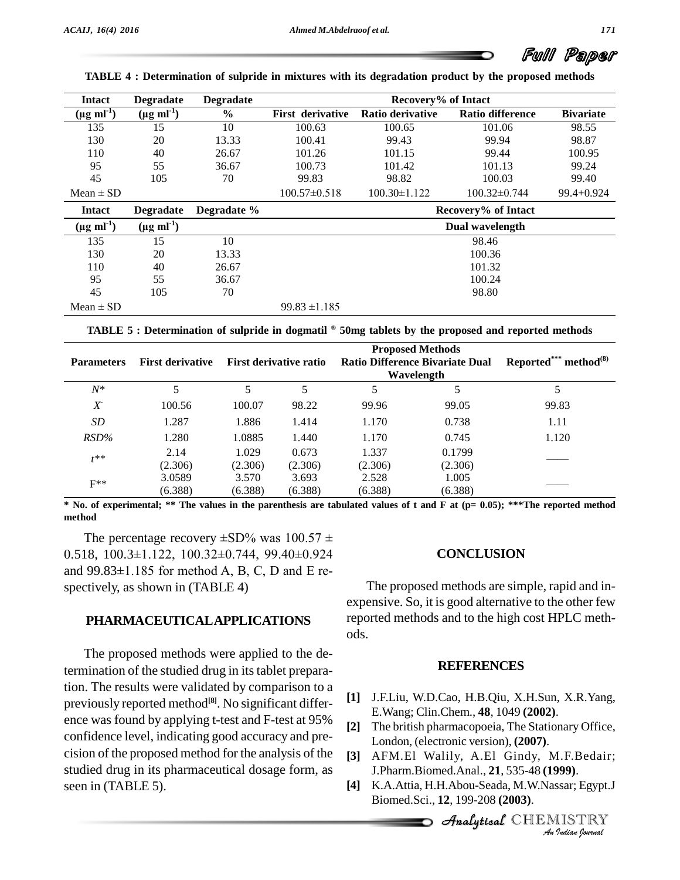# Paper

| <b>Intact</b>             | <b>Degradate</b>            | <b>Degradate</b> | Recovery% of Intact     |                    |                         |                  |  |  |
|---------------------------|-----------------------------|------------------|-------------------------|--------------------|-------------------------|------------------|--|--|
| $(\mu g \text{ ml}^{-1})$ | $(\mu g$ ml <sup>-1</sup> ) | $\frac{6}{9}$    | <b>First derivative</b> | Ratio derivative   | <b>Ratio difference</b> | <b>Bivariate</b> |  |  |
| 135                       | 15                          | 10               | 100.63                  | 100.65             | 101.06                  | 98.55            |  |  |
| 130                       | 20                          | 13.33            | 100.41                  | 99.43              | 99.94                   | 98.87            |  |  |
| 110                       | 40                          | 26.67            | 101.26                  | 101.15             | 99.44                   | 100.95           |  |  |
| 95                        | 55                          | 36.67            | 100.73                  | 101.42             | 101.13                  | 99.24            |  |  |
| 45                        | 105                         | 70               | 99.83                   | 98.82              | 100.03                  | 99.40            |  |  |
| Mean $\pm$ SD             |                             |                  | $100.57 \pm 0.518$      | $100.30 \pm 1.122$ | $100.32 \pm 0.744$      | $99.4 + 0.924$   |  |  |
| <b>Intact</b>             | <b>Degradate</b>            | Degradate %      |                         |                    | Recovery% of Intact     |                  |  |  |
| $(\mu g \text{ ml}^1)$    | $(\mu g \text{ ml}^{-1})$   |                  |                         |                    | Dual wavelength         |                  |  |  |
| 135                       | 15                          | 10               |                         |                    | 98.46                   |                  |  |  |
| 130                       | 20                          | 13.33            | 100.36                  |                    |                         |                  |  |  |
| 110                       | 40                          | 26.67            | 101.32                  |                    |                         |                  |  |  |
| 95                        | 55                          | 36.67            | 100.24                  |                    |                         |                  |  |  |
| 45                        | 105                         | 70               |                         |                    | 98.80                   |                  |  |  |
| $Mean \pm SD$             |                             |                  | $99.83 \pm 1.185$       |                    |                         |                  |  |  |

**TABLE 4 : Determination of sulpride in mixtures with its degradation product by the proposed methods**

**TABLE <sup>5</sup> : Determination of sulpride in dogmatil <sup>Æ</sup> 50mg tablets by the proposed and reported methods**

| <b>Parameters</b> | <b>First derivative</b> | <b>First derivative ratio</b> |         | <b>Proposed Methods</b><br><b>Ratio Difference Bivariate Dual</b><br>Wavelength |         | Reported*** method $^{(8)}$ |
|-------------------|-------------------------|-------------------------------|---------|---------------------------------------------------------------------------------|---------|-----------------------------|
| $N^*$             |                         |                               |         |                                                                                 |         |                             |
| $X^{\mathbb{R}}$  | 100.56                  | 100.07                        | 98.22   | 99.96                                                                           | 99.05   | 99.83                       |
| SD                | 1.287                   | 1.886                         | 1.414   | 1.170                                                                           | 0.738   | 1.11                        |
| $RSD\%$           | 1.280                   | 1.0885                        | 1.440   | 1.170                                                                           | 0.745   | 1.120                       |
| $t^{**}$          | 2.14                    | 1.029                         | 0.673   | 1.337                                                                           | 0.1799  |                             |
|                   | (2.306)                 | (2.306)                       | (2.306) | (2.306)                                                                         | (2.306) |                             |
| $F^{**}$          | 3.0589                  | 3.570                         | 3.693   | 2.528                                                                           | 1.005   |                             |
|                   | (6.388)                 | (6.388)                       | (6.388) | (6.388)                                                                         | (6.388) |                             |

\* No. of experimental; \*\* The values in the parenthesis are tabulated values of t and F at (p= 0.05); \*\*\*The reported method<br>method<br>The percentage recovery  $\pm$ SD% was  $100.57 \pm$ **method**

The percentage recovery  $\pm$ SD% was 100.57  $\pm$ 0.518, 100.3±1.122, 100.32±0.744, 99.40±0.924 and  $99.83\pm1.185$  for method A, B, C, D and E respectively, as shown in (TABLE 4)

#### **PHARMACEUTICALAPPLICATIONS**

The proposed methods were applied to the determination of the studied drug in its tablet preparation. The results were validated by comparison to a previously reported method **[8]**. No significant differ ence was found by applying t-test and F-test at 95% confidence level, indicating good accuracy and pre cision of the proposed method for the analysis of the studied drug in its pharmaceutical dosage form, as seen in (TABLE 5).

#### **CONCLUSION**

The proposed methods are simple, rapid and in expensive. So, it is good alternative to the other few reported methods and to the high cost HPLC meth ods.

#### **REFERENCES**

- **[1]** J.F.Liu, W.D.Cao, H.B.Qiu, X.H.Sun, X.R.Yang, E.Wang; Clin.Chem., **48**, 1049 **(2002)**.
- $L$ ondon, (electronic version), **(2007)**. **[2]** The british pharmacopoeia, The Stationary Office,
- **[3]** AFM.El Walily, A.El Gindy, M.F.Bedair; J.Pharm.Biomed.Anal., **21**, 535-48 **(1999)**.
- 1.F.Bedair;<br>**199**).<br><sub>Ssar;</sub> Egypt.J<br>IISTRY **[4]** K.A.Attia, H.H.Abou-Seada, M.W.Nassar; Egypt.J Biomed.Sci., **12**, 199-208 **(2003)**.

CHEMISTRY